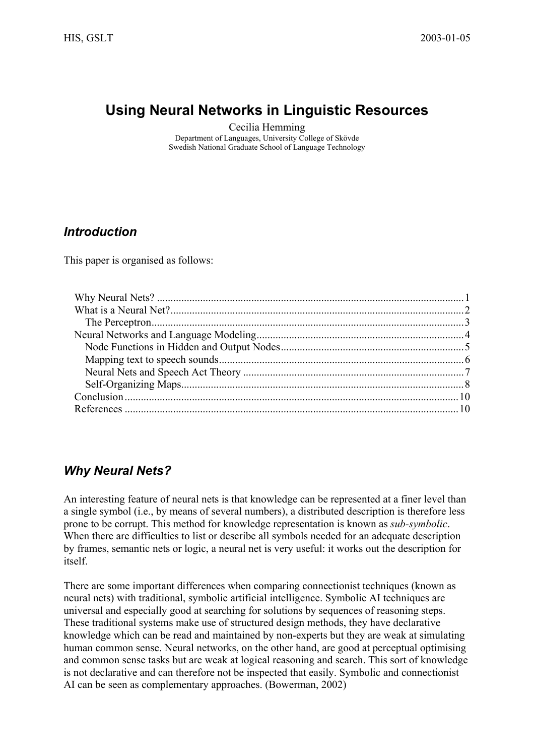# **Using Neural Networks in Linguistic Resources**

Cecilia Hemming

Department of Languages, University College of Skövde Swedish National Graduate School of Language Technology

## *Introduction*

This paper is organised as follows:

# *Why Neural Nets?*

An interesting feature of neural nets is that knowledge can be represented at a finer level than a single symbol (i.e., by means of several numbers), a distributed description is therefore less prone to be corrupt. This method for knowledge representation is known as *sub-symbolic*. When there are difficulties to list or describe all symbols needed for an adequate description by frames, semantic nets or logic, a neural net is very useful: it works out the description for itself.

There are some important differences when comparing connectionist techniques (known as neural nets) with traditional, symbolic artificial intelligence. Symbolic AI techniques are universal and especially good at searching for solutions by sequences of reasoning steps. These traditional systems make use of structured design methods, they have declarative knowledge which can be read and maintained by non-experts but they are weak at simulating human common sense. Neural networks, on the other hand, are good at perceptual optimising and common sense tasks but are weak at logical reasoning and search. This sort of knowledge is not declarative and can therefore not be inspected that easily. Symbolic and connectionist AI can be seen as complementary approaches. (Bowerman, 2002)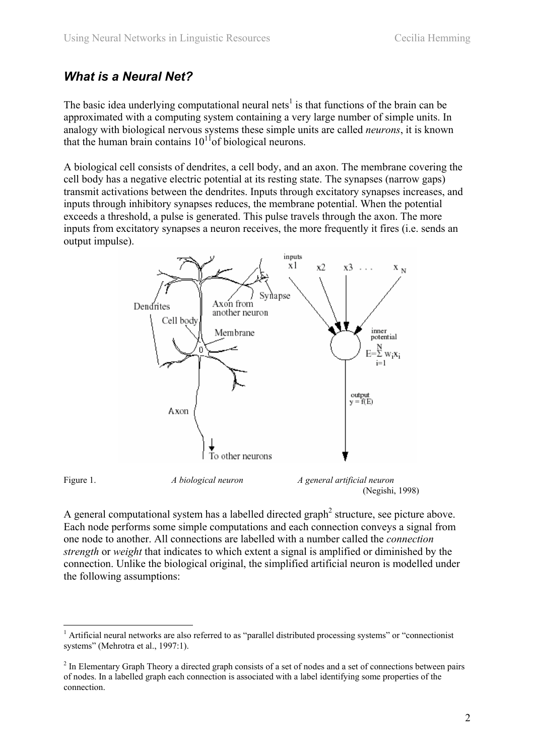# *What is a Neural Net?*

 $\overline{a}$ 

The basic idea underlying computational neural nets<sup>1</sup> is that functions of the brain can be approximated with a computing system containing a very large number of simple units. In analogy with biological nervous systems these simple units are called *neurons*, it is known that the human brain contains  $10^{11}$  of biological neurons.

A biological cell consists of dendrites, a cell body, and an axon. The membrane covering the cell body has a negative electric potential at its resting state. The synapses (narrow gaps) transmit activations between the dendrites. Inputs through excitatory synapses increases, and inputs through inhibitory synapses reduces, the membrane potential. When the potential exceeds a threshold, a pulse is generated. This pulse travels through the axon. The more inputs from excitatory synapses a neuron receives, the more frequently it fires (i.e. sends an output impulse).



A general computational system has a labelled directed graph<sup>2</sup> structure, see picture above. Each node performs some simple computations and each connection conveys a signal from one node to another. All connections are labelled with a number called the *connection strength* or *weight* that indicates to which extent a signal is amplified or diminished by the connection. Unlike the biological original, the simplified artificial neuron is modelled under the following assumptions:

<sup>&</sup>lt;sup>1</sup> Artificial neural networks are also referred to as "parallel distributed processing systems" or "connectionist systems" (Mehrotra et al., 1997:1).

 $2 \text{ In Elementary Graph Theory}$  a directed graph consists of a set of nodes and a set of connections between pairs of nodes. In a labelled graph each connection is associated with a label identifying some properties of the connection.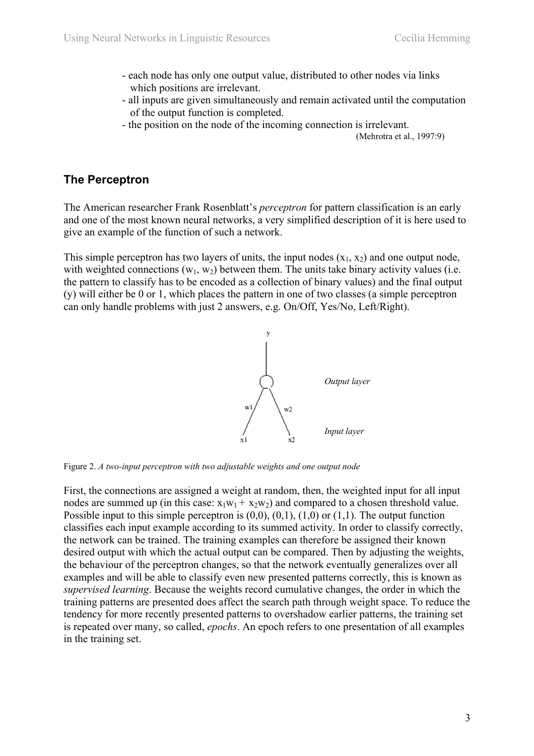- each node has only one output value, distributed to other nodes via links which positions are irrelevant.
- all inputs are given simultaneously and remain activated until the computation of the output function is completed.
- the position on the node of the incoming connection is irrelevant.<br>(Mehrotra et al., 1997:9)

#### **The Perceptron**

The American researcher Frank Rosenblatt's *perceptron* for pattern classification is an early and one of the most known neural networks, a very simplified description of it is here used to give an example of the function of such a network.

This simple perceptron has two layers of units, the input nodes  $(x_1, x_2)$  and one output node, with weighted connections  $(w_1, w_2)$  between them. The units take binary activity values (i.e. the pattern to classify has to be encoded as a collection of binary values) and the final output (y) will either be 0 or 1, which places the pattern in one of two classes (a simple perceptron can only handle problems with just 2 answers, e.g. On/Off, Yes/No, Left/Right).



Figure 2. *A two-input perceptron with two adjustable weights and one output node*

First, the connections are assigned a weight at random, then, the weighted input for all input nodes are summed up (in this case:  $x_1w_1 + x_2w_2$ ) and compared to a chosen threshold value. Possible input to this simple perceptron is  $(0,0)$ ,  $(0,1)$ ,  $(1,0)$  or  $(1,1)$ . The output function classifies each input example according to its summed activity. In order to classify correctly, the network can be trained. The training examples can therefore be assigned their known desired output with which the actual output can be compared. Then by adjusting the weights, the behaviour of the perceptron changes, so that the network eventually generalizes over all examples and will be able to classify even new presented patterns correctly, this is known as *supervised learning*. Because the weights record cumulative changes, the order in which the training patterns are presented does affect the search path through weight space. To reduce the tendency for more recently presented patterns to overshadow earlier patterns, the training set is repeated over many, so called, *epochs*. An epoch refers to one presentation of all examples in the training set.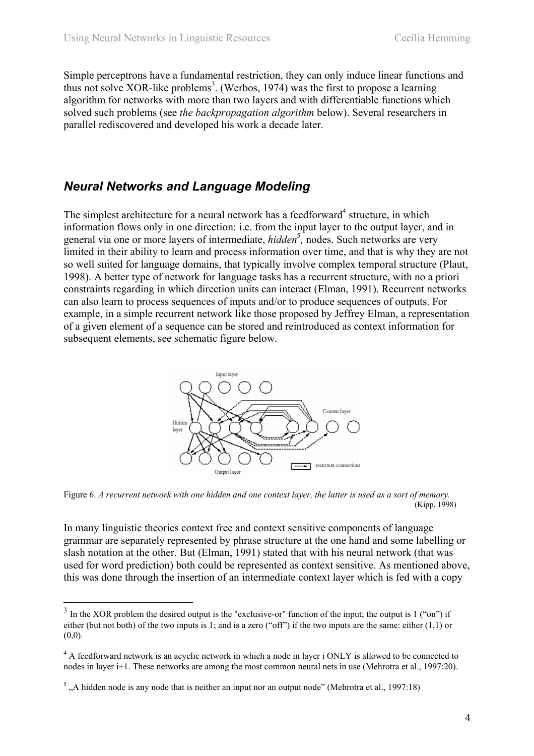Simple perceptrons have a fundamental restriction, they can only induce linear functions and thus not solve XOR-like problems<sup>3</sup>. (Werbos, 1974) was the first to propose a learning algorithm for networks with more than two layers and with differentiable functions which solved such problems (see *the backpropagation algorithm* below). Several researchers in parallel rediscovered and developed his work a decade later.

### *Neural Networks and Language Modeling*

The simplest architecture for a neural network has a feedforward<sup>4</sup> structure, in which information flows only in one direction: i.e. from the input layer to the output layer, and in general via one or more layers of intermediate, *hidden*<sup>5</sup>, nodes. Such networks are very limited in their ability to learn and process information over time, and that is why they are not so well suited for language domains, that typically involve complex temporal structure (Plaut, 1998). A better type of network for language tasks has a recurrent structure, with no a priori constraints regarding in which direction units can interact (Elman, 1991). Recurrent networks can also learn to process sequences of inputs and/or to produce sequences of outputs. For example, in a simple recurrent network like those proposed by Jeffrey Elman, a representation of a given element of a sequence can be stored and reintroduced as context information for subsequent elements, see schematic figure below.



Figure 6. *A recurrent network with one hidden and one context layer, the latter is used as a sort of memory.* (Kipp, 1998)

In many linguistic theories context free and context sensitive components of language grammar are separately represented by phrase structure at the one hand and some labelling or slash notation at the other. But (Elman, 1991) stated that with his neural network (that was used for word prediction) both could be represented as context sensitive. As mentioned above, this was done through the insertion of an intermediate context layer which is fed with a copy

 $\overline{a}$ 

 $3$  In the XOR problem the desired output is the "exclusive-or" function of the input; the output is 1 ("on") if either (but not both) of the two inputs is 1; and is a zero ("off") if the two inputs are the same: either (1,1) or  $(0,0)$ .

<sup>&</sup>lt;sup>4</sup> A feedforward network is an acyclic network in which a node in layer i ONLY is allowed to be connected to nodes in layer i+1. These networks are among the most common neural nets in use (Mehrotra et al., 1997:20).

 $<sup>5</sup>$ , A hidden node is any node that is neither an input nor an output node" (Mehrotra et al., 1997:18)</sup>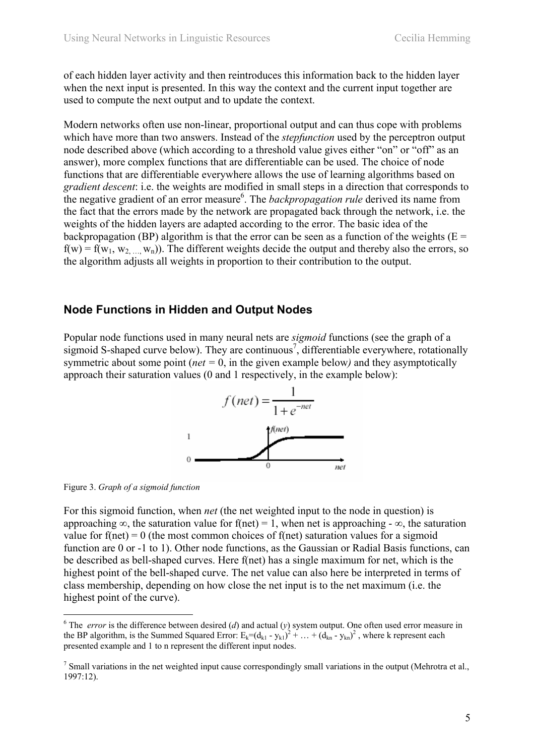of each hidden layer activity and then reintroduces this information back to the hidden layer when the next input is presented. In this way the context and the current input together are used to compute the next output and to update the context.

Modern networks often use non-linear, proportional output and can thus cope with problems which have more than two answers. Instead of the *stepfunction* used by the perceptron output node described above (which according to a threshold value gives either "on" or "off" as an answer), more complex functions that are differentiable can be used. The choice of node functions that are differentiable everywhere allows the use of learning algorithms based on *gradient descent*: i.e. the weights are modified in small steps in a direction that corresponds to the negative gradient of an error measure<sup>6</sup>. The *backpropagation rule* derived its name from the fact that the errors made by the network are propagated back through the network, i.e. the weights of the hidden layers are adapted according to the error. The basic idea of the backpropagation (BP) algorithm is that the error can be seen as a function of the weights ( $E =$  $f(w) = f(w_1, w_2, \ldots, w_n)$ . The different weights decide the output and thereby also the errors, so the algorithm adjusts all weights in proportion to their contribution to the output.

#### **Node Functions in Hidden and Output Nodes**

Popular node functions used in many neural nets are *sigmoid* functions (see the graph of a sigmoid S-shaped curve below). They are continuous<sup>7</sup>, differentiable everywhere, rotationally symmetric about some point (*net =* 0, in the given example below*)* and they asymptotically approach their saturation values (0 and 1 respectively, in the example below):



Figure 3. *Graph of a sigmoid function*

 $\overline{a}$ 

For this sigmoid function, when *net* (the net weighted input to the node in question) is approaching  $\infty$ , the saturation value for f(net) = 1, when net is approaching -  $\infty$ , the saturation value for  $f(\text{net}) = 0$  (the most common choices of  $f(\text{net})$  saturation values for a sigmoid function are 0 or -1 to 1). Other node functions, as the Gaussian or Radial Basis functions, can be described as bell-shaped curves. Here f(net) has a single maximum for net, which is the highest point of the bell-shaped curve. The net value can also here be interpreted in terms of class membership, depending on how close the net input is to the net maximum (i.e. the highest point of the curve).

<sup>&</sup>lt;sup>6</sup> The *error* is the difference between desired (*d*) and actual (*y*) system output. One often used error measure in the BP algorithm, is the Summed Squared Error:  $E_k = (d_{k1} - y_{k1})^2 + ... + (d_{kn} - y_{kn})^2$ , where k represent each presented example and 1 to n represent the different input nodes.

<sup>&</sup>lt;sup>7</sup> Small variations in the net weighted input cause correspondingly small variations in the output (Mehrotra et al., 1997:12).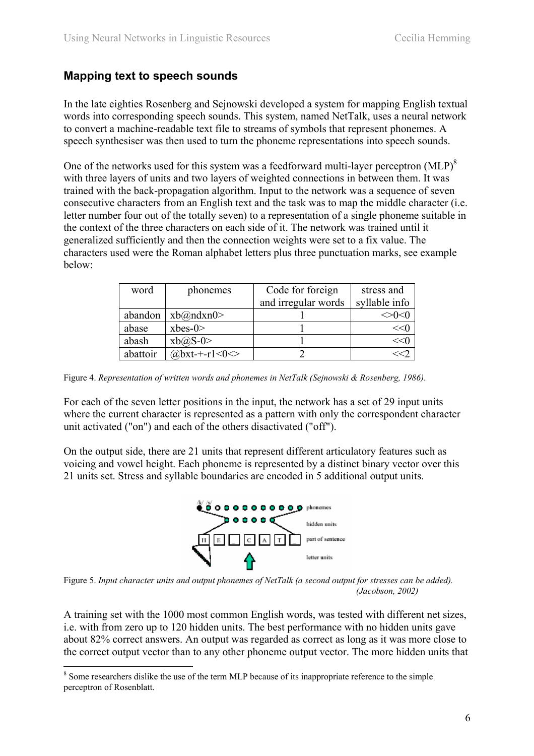#### **Mapping text to speech sounds**

In the late eighties Rosenberg and Sejnowski developed a system for mapping English textual words into corresponding speech sounds. This system, named NetTalk, uses a neural network to convert a machine-readable text file to streams of symbols that represent phonemes. A speech synthesiser was then used to turn the phoneme representations into speech sounds.

One of the networks used for this system was a feedforward multi-layer perceptron  $(MLP)^8$ with three layers of units and two layers of weighted connections in between them. It was trained with the back-propagation algorithm. Input to the network was a sequence of seven consecutive characters from an English text and the task was to map the middle character (i.e. letter number four out of the totally seven) to a representation of a single phoneme suitable in the context of the three characters on each side of it. The network was trained until it generalized sufficiently and then the connection weights were set to a fix value. The characters used were the Roman alphabet letters plus three punctuation marks, see example below:

| word     | phonemes            | Code for foreign    | stress and    |
|----------|---------------------|---------------------|---------------|
|          |                     | and irregular words | syllable info |
| abandon  | xb@ndxn0            |                     | ઝ0<િ          |
| abase    | $x$ bes-0 $>$       |                     | << 0          |
| abash    | $xb@S-0$            |                     | <<∩           |
| abattoir | @bxt-+-r1<0 $\odot$ |                     |               |

Figure 4. *Representation of written words and phonemes in NetTalk (Sejnowski & Rosenberg, 1986)*.

For each of the seven letter positions in the input, the network has a set of 29 input units where the current character is represented as a pattern with only the correspondent character unit activated ("on") and each of the others disactivated ("off").

On the output side, there are 21 units that represent different articulatory features such as voicing and vowel height. Each phoneme is represented by a distinct binary vector over this 21 units set. Stress and syllable boundaries are encoded in 5 additional output units.



Figure 5. *Input character units and output phonemes of NetTalk (a second output for stresses can be added). (Jacobson, 2002)* 

A training set with the 1000 most common English words, was tested with different net sizes, i.e. with from zero up to 120 hidden units. The best performance with no hidden units gave about 82% correct answers. An output was regarded as correct as long as it was more close to the correct output vector than to any other phoneme output vector. The more hidden units that

 $\overline{a}$ 

<sup>&</sup>lt;sup>8</sup> Some researchers dislike the use of the term MLP because of its inappropriate reference to the simple perceptron of Rosenblatt.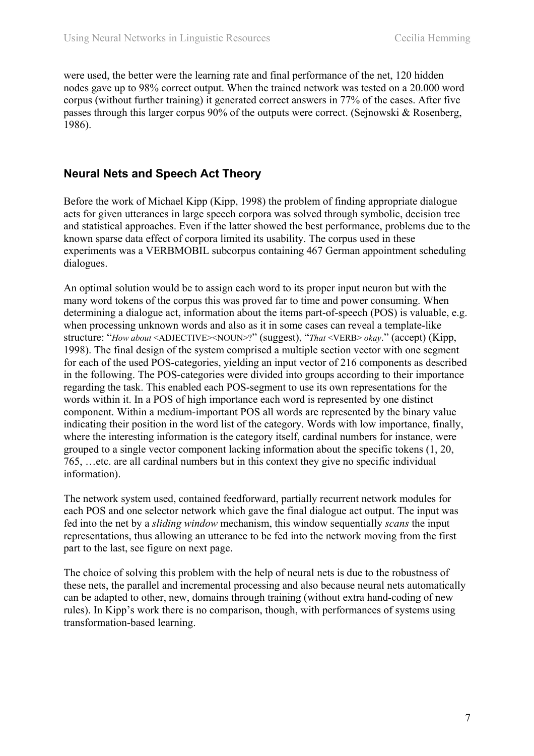were used, the better were the learning rate and final performance of the net, 120 hidden nodes gave up to 98% correct output. When the trained network was tested on a 20.000 word corpus (without further training) it generated correct answers in 77% of the cases. After five passes through this larger corpus 90% of the outputs were correct. (Sejnowski & Rosenberg, 1986).

### **Neural Nets and Speech Act Theory**

Before the work of Michael Kipp (Kipp, 1998) the problem of finding appropriate dialogue acts for given utterances in large speech corpora was solved through symbolic, decision tree and statistical approaches. Even if the latter showed the best performance, problems due to the known sparse data effect of corpora limited its usability. The corpus used in these experiments was a VERBMOBIL subcorpus containing 467 German appointment scheduling dialogues.

An optimal solution would be to assign each word to its proper input neuron but with the many word tokens of the corpus this was proved far to time and power consuming. When determining a dialogue act, information about the items part-of-speech (POS) is valuable, e.g. when processing unknown words and also as it in some cases can reveal a template-like structure: "*How about* <ADJECTIVE><NOUN>?" (suggest), "*That* <VERB> *okay*." (accept) (Kipp, 1998). The final design of the system comprised a multiple section vector with one segment for each of the used POS-categories, yielding an input vector of 216 components as described in the following. The POS-categories were divided into groups according to their importance regarding the task. This enabled each POS-segment to use its own representations for the words within it. In a POS of high importance each word is represented by one distinct component. Within a medium-important POS all words are represented by the binary value indicating their position in the word list of the category. Words with low importance, finally, where the interesting information is the category itself, cardinal numbers for instance, were grouped to a single vector component lacking information about the specific tokens (1, 20, 765, …etc. are all cardinal numbers but in this context they give no specific individual information).

The network system used, contained feedforward, partially recurrent network modules for each POS and one selector network which gave the final dialogue act output. The input was fed into the net by a *sliding window* mechanism, this window sequentially *scans* the input representations, thus allowing an utterance to be fed into the network moving from the first part to the last, see figure on next page.

The choice of solving this problem with the help of neural nets is due to the robustness of these nets, the parallel and incremental processing and also because neural nets automatically can be adapted to other, new, domains through training (without extra hand-coding of new rules). In Kipp's work there is no comparison, though, with performances of systems using transformation-based learning.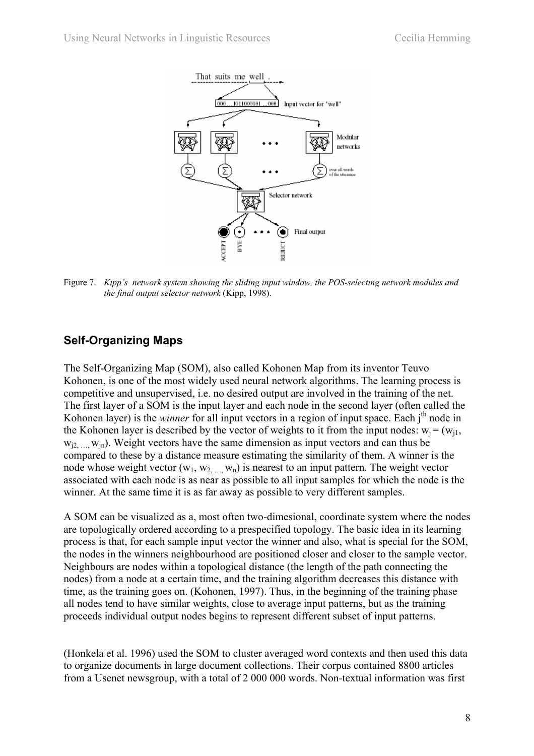

Figure 7. *Kipp's network system showing the sliding input window, the POS-selecting network modules and the final output selector network* (Kipp, 1998).

# **Self-Organizing Maps**

The Self-Organizing Map (SOM), also called Kohonen Map from its inventor Teuvo Kohonen, is one of the most widely used neural network algorithms. The learning process is competitive and unsupervised, i.e. no desired output are involved in the training of the net. The first layer of a SOM is the input layer and each node in the second layer (often called the Kohonen layer) is the *winner* for all input vectors in a region of input space. Each j<sup>th</sup> node in the Kohonen layer is described by the vector of weights to it from the input nodes:  $w_i = (w_{i1},$  $w_{i2}$ , w<sub>in</sub>). Weight vectors have the same dimension as input vectors and can thus be compared to these by a distance measure estimating the similarity of them. A winner is the node whose weight vector  $(w_1, w_2, \ldots, w_n)$  is nearest to an input pattern. The weight vector associated with each node is as near as possible to all input samples for which the node is the winner. At the same time it is as far away as possible to very different samples.

A SOM can be visualized as a, most often two-dimesional, coordinate system where the nodes are topologically ordered according to a prespecified topology. The basic idea in its learning process is that, for each sample input vector the winner and also, what is special for the SOM, the nodes in the winners neighbourhood are positioned closer and closer to the sample vector. Neighbours are nodes within a topological distance (the length of the path connecting the nodes) from a node at a certain time, and the training algorithm decreases this distance with time, as the training goes on. (Kohonen, 1997). Thus, in the beginning of the training phase all nodes tend to have similar weights, close to average input patterns, but as the training proceeds individual output nodes begins to represent different subset of input patterns.

(Honkela et al. 1996) used the SOM to cluster averaged word contexts and then used this data to organize documents in large document collections. Their corpus contained 8800 articles from a Usenet newsgroup, with a total of 2 000 000 words. Non-textual information was first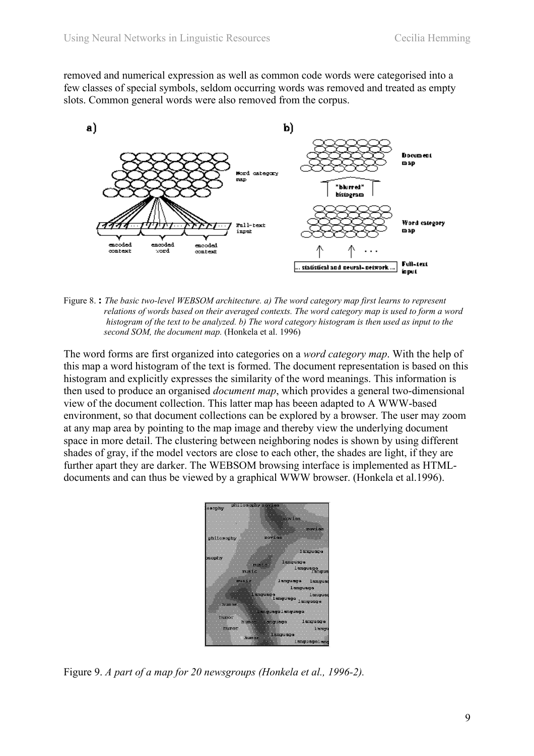removed and numerical expression as well as common code words were categorised into a few classes of special symbols, seldom occurring words was removed and treated as empty slots. Common general words were also removed from the corpus.



Figure 8. **:** *The basic two-level WEBSOM architecture. a) The word category map first learns to represent relations of words based on their averaged contexts. The word category map is used to form a word histogram of the text to be analyzed. b) The word category histogram is then used as input to the second SOM, the document map.* (Honkela et al. 1996)

The word forms are first organized into categories on a *word category map*. With the help of this map a word histogram of the text is formed. The document representation is based on this histogram and explicitly expresses the similarity of the word meanings. This information is then used to produce an organised *document map*, which provides a general two-dimensional view of the document collection. This latter map has beeen adapted to A WWW-based environment, so that document collections can be explored by a browser. The user may zoom at any map area by pointing to the map image and thereby view the underlying document space in more detail. The clustering between neighboring nodes is shown by using different shades of gray, if the model vectors are close to each other, the shades are light, if they are further apart they are darker. The WEBSOM browsing interface is implemented as HTMLdocuments and can thus be viewed by a graphical WWW browser. (Honkela et al.1996).



Figure 9. *A part of a map for 20 newsgroups (Honkela et al., 1996-2).*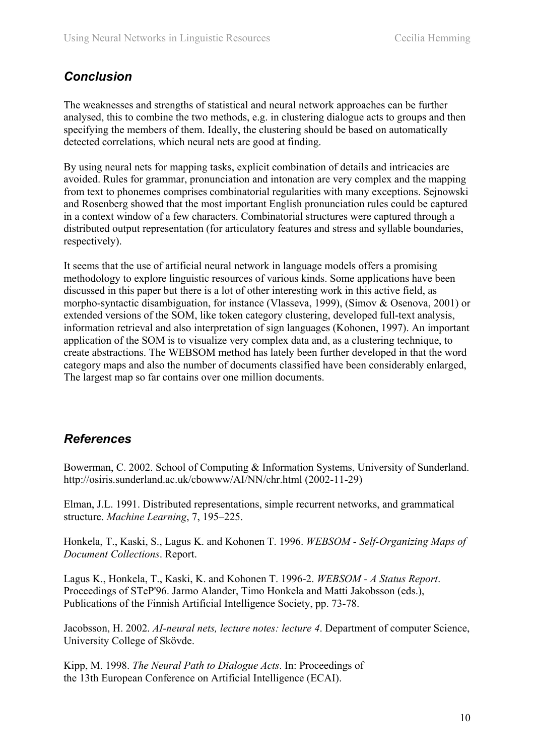# *Conclusion*

The weaknesses and strengths of statistical and neural network approaches can be further analysed, this to combine the two methods, e.g. in clustering dialogue acts to groups and then specifying the members of them. Ideally, the clustering should be based on automatically detected correlations, which neural nets are good at finding.

By using neural nets for mapping tasks, explicit combination of details and intricacies are avoided. Rules for grammar, pronunciation and intonation are very complex and the mapping from text to phonemes comprises combinatorial regularities with many exceptions. Sejnowski and Rosenberg showed that the most important English pronunciation rules could be captured in a context window of a few characters. Combinatorial structures were captured through a distributed output representation (for articulatory features and stress and syllable boundaries, respectively).

It seems that the use of artificial neural network in language models offers a promising methodology to explore linguistic resources of various kinds. Some applications have been discussed in this paper but there is a lot of other interesting work in this active field, as morpho-syntactic disambiguation, for instance (Vlasseva, 1999), (Simov & Osenova, 2001) or extended versions of the SOM, like token category clustering, developed full-text analysis, information retrieval and also interpretation of sign languages (Kohonen, 1997). An important application of the SOM is to visualize very complex data and, as a clustering technique, to create abstractions. The WEBSOM method has lately been further developed in that the word category maps and also the number of documents classified have been considerably enlarged, The largest map so far contains over one million documents.

# *References*

Bowerman, C. 2002. School of Computing & Information Systems, University of Sunderland. http://osiris.sunderland.ac.uk/cbowww/AI/NN/chr.html (2002-11-29)

Elman, J.L. 1991. Distributed representations, simple recurrent networks, and grammatical structure. *Machine Learning*, 7, 195–225.

Honkela, T., Kaski, S., Lagus K. and Kohonen T. 1996. *WEBSOM - Self-Organizing Maps of Document Collections*. Report.

Lagus K., Honkela, T., Kaski, K. and Kohonen T. 1996-2. *WEBSOM - A Status Report*. Proceedings of STeP'96. Jarmo Alander, Timo Honkela and Matti Jakobsson (eds.), Publications of the Finnish Artificial Intelligence Society, pp. 73-78.

Jacobsson, H. 2002. *AI-neural nets, lecture notes: lecture 4*. Department of computer Science, University College of Skövde.

Kipp, M. 1998. *The Neural Path to Dialogue Acts*. In: Proceedings of the 13th European Conference on Artificial Intelligence (ECAI).